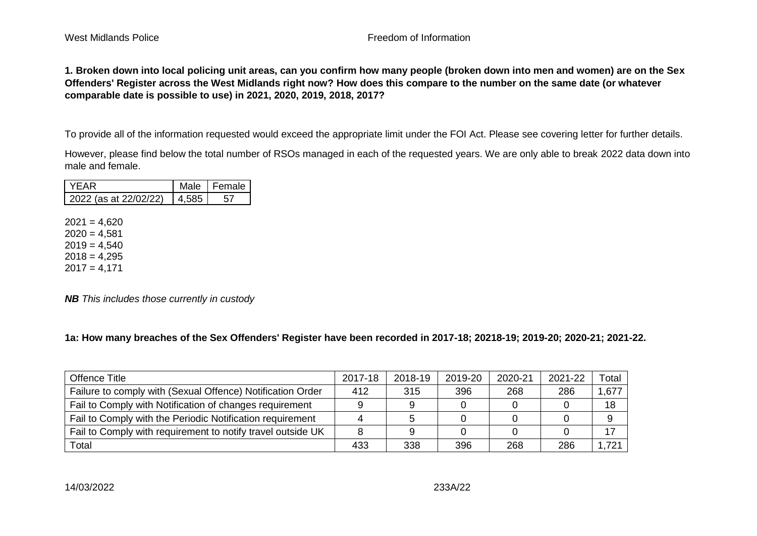## West Midlands Police **Freedom of Information**

**1. Broken down into local policing unit areas, can you confirm how many people (broken down into men and women) are on the Sex Offenders' Register across the West Midlands right now? How does this compare to the number on the same date (or whatever comparable date is possible to use) in 2021, 2020, 2019, 2018, 2017?**

To provide all of the information requested would exceed the appropriate limit under the FOI Act. Please see covering letter for further details.

However, please find below the total number of RSOs managed in each of the requested years. We are only able to break 2022 data down into male and female.

|                            | Male I Female |
|----------------------------|---------------|
| $2022$ (as at $22/02/22$ ) |               |

 $2021 = 4,620$  $2020 = 4.581$  $2019 = 4,540$  $2018 = 4,295$  $2017 = 4,171$ 

*NB This includes those currently in custody*

**1a: How many breaches of the Sex Offenders' Register have been recorded in 2017-18; 20218-19; 2019-20; 2020-21; 2021-22.** 

| Offence Title                                               | 2017-18 | 2018-19 | 2019-20 | 2020-21 | 2021-22 | Total |
|-------------------------------------------------------------|---------|---------|---------|---------|---------|-------|
| Failure to comply with (Sexual Offence) Notification Order  | 412     | 315     | 396     | 268     | 286     | 1,677 |
| Fail to Comply with Notification of changes requirement     |         |         |         |         |         | 18    |
| Fail to Comply with the Periodic Notification requirement   |         |         |         |         |         | 9     |
| Fail to Comply with requirement to notify travel outside UK |         |         |         |         |         | 17    |
| Total                                                       | 433     | 338     | 396     | 268     | 286     | 1,721 |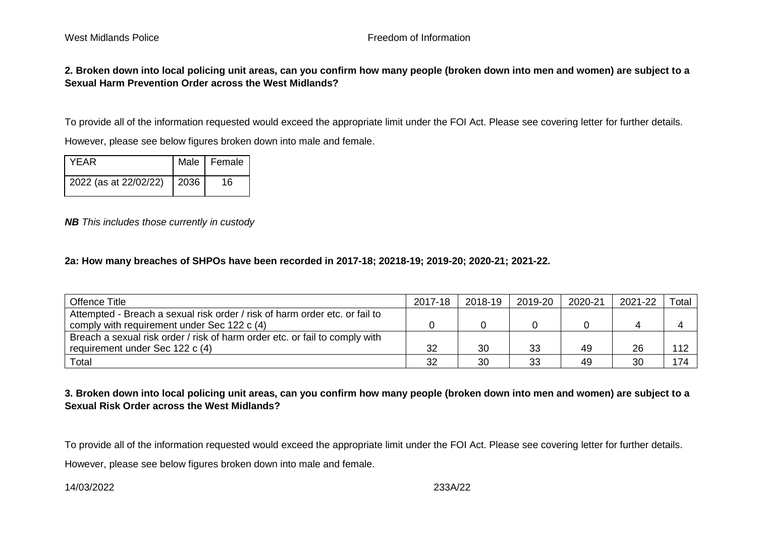**2. Broken down into local policing unit areas, can you confirm how many people (broken down into men and women) are subject to a Sexual Harm Prevention Order across the West Midlands?**

To provide all of the information requested would exceed the appropriate limit under the FOI Act. Please see covering letter for further details.

However, please see below figures broken down into male and female.

| <b>YFAR</b>           |      | Male   Female |
|-----------------------|------|---------------|
| 2022 (as at 22/02/22) | 2036 | 16            |

*NB This includes those currently in custody*

## **2a: How many breaches of SHPOs have been recorded in 2017-18; 20218-19; 2019-20; 2020-21; 2021-22.**

| Offence Title                                                               | 2017-18 | 2018-19 | 2019-20 | 2020-21 | 2021-22 | Total |
|-----------------------------------------------------------------------------|---------|---------|---------|---------|---------|-------|
| Attempted - Breach a sexual risk order / risk of harm order etc. or fail to |         |         |         |         |         |       |
| comply with requirement under Sec 122 c (4)                                 |         |         |         |         |         |       |
| Breach a sexual risk order / risk of harm order etc. or fail to comply with |         |         |         |         |         |       |
| requirement under Sec 122 c (4)                                             | 32      | 30      | 33      | 49      | 26      |       |
| Total                                                                       | 32      | 30      | 33      | 49      | 30      | 174   |

# **3. Broken down into local policing unit areas, can you confirm how many people (broken down into men and women) are subject to a Sexual Risk Order across the West Midlands?**

To provide all of the information requested would exceed the appropriate limit under the FOI Act. Please see covering letter for further details.

However, please see below figures broken down into male and female.

14/03/2022 233A/22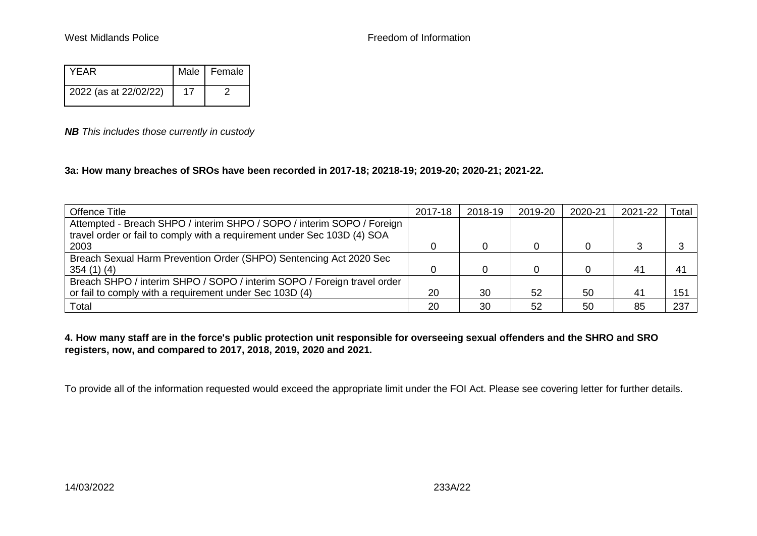| YFAR                  | Male   Female |
|-----------------------|---------------|
| 2022 (as at 22/02/22) |               |

## *NB This includes those currently in custody*

## **3a: How many breaches of SROs have been recorded in 2017-18; 20218-19; 2019-20; 2020-21; 2021-22.**

| Offence Title                                                            | 2017-18 | 2018-19 | 2019-20 | 2020-21 | 2021-22 | Total |
|--------------------------------------------------------------------------|---------|---------|---------|---------|---------|-------|
| Attempted - Breach SHPO / interim SHPO / SOPO / interim SOPO / Foreign   |         |         |         |         |         |       |
| travel order or fail to comply with a requirement under Sec 103D (4) SOA |         |         |         |         |         |       |
| 2003                                                                     |         |         |         |         |         |       |
| Breach Sexual Harm Prevention Order (SHPO) Sentencing Act 2020 Sec       |         |         |         |         |         |       |
| 354(1)(4)                                                                |         |         |         |         | 41      | 41    |
| Breach SHPO / interim SHPO / SOPO / interim SOPO / Foreign travel order  |         |         |         |         |         |       |
| or fail to comply with a requirement under Sec 103D (4)                  | 20      | 30      | 52      | 50      | 41      | 151   |
| Total                                                                    | 20      | 30      | 52      | 50      | 85      | 237   |

**4. How many staff are in the force's public protection unit responsible for overseeing sexual offenders and the SHRO and SRO registers, now, and compared to 2017, 2018, 2019, 2020 and 2021.**

To provide all of the information requested would exceed the appropriate limit under the FOI Act. Please see covering letter for further details.